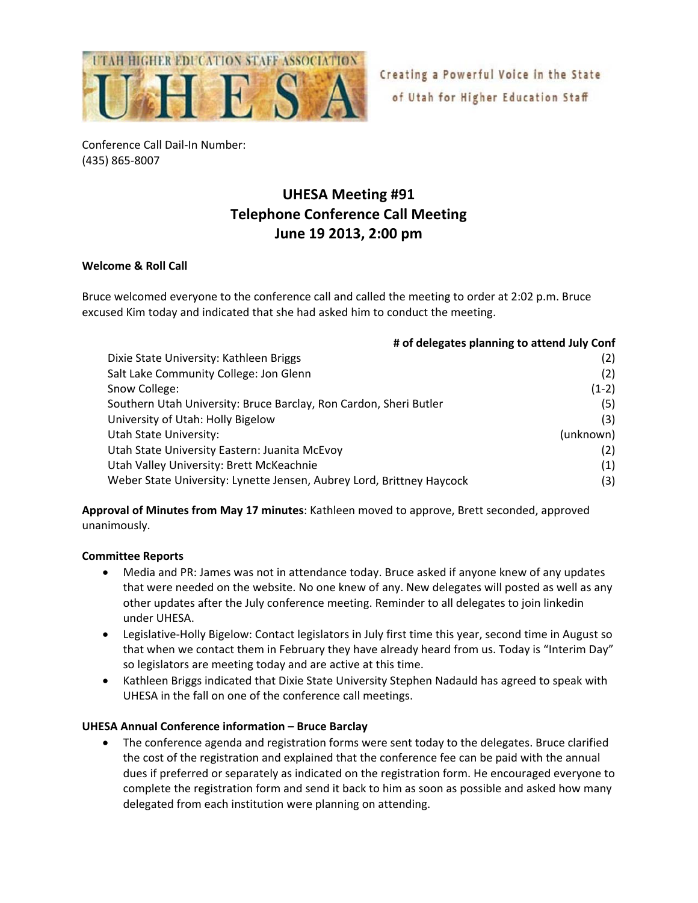

Creating a Powerful Voice in the State of Utah for Higher Education Staff

Conference Call Dail‐In Number: (435) 865‐8007

## **UHESA Meeting #91 Telephone Conference Call Meeting June 19 2013, 2:00 pm**

## **Welcome & Roll Call**

Bruce welcomed everyone to the conference call and called the meeting to order at 2:02 p.m. Bruce excused Kim today and indicated that she had asked him to conduct the meeting.

| # of delegates planning to attend July Conf                           |           |
|-----------------------------------------------------------------------|-----------|
| Dixie State University: Kathleen Briggs                               | (2)       |
| Salt Lake Community College: Jon Glenn                                | (2)       |
| Snow College:                                                         | $(1-2)$   |
| Southern Utah University: Bruce Barclay, Ron Cardon, Sheri Butler     | (5)       |
| University of Utah: Holly Bigelow                                     | (3)       |
| Utah State University:                                                | (unknown) |
| Utah State University Eastern: Juanita McEvoy                         | (2)       |
| Utah Valley University: Brett McKeachnie                              | (1)       |
| Weber State University: Lynette Jensen, Aubrey Lord, Brittney Haycock | (3)       |

**Approval of Minutes from May 17 minutes**: Kathleen moved to approve, Brett seconded, approved unanimously.

## **Committee Reports**

- Media and PR: James was not in attendance today. Bruce asked if anyone knew of any updates that were needed on the website. No one knew of any. New delegates will posted as well as any other updates after the July conference meeting. Reminder to all delegates to join linkedin under UHESA.
- Legislative-Holly Bigelow: Contact legislators in July first time this year, second time in August so that when we contact them in February they have already heard from us. Today is "Interim Day" so legislators are meeting today and are active at this time.
- Kathleen Briggs indicated that Dixie State University Stephen Nadauld has agreed to speak with UHESA in the fall on one of the conference call meetings.

## **UHESA Annual Conference information – Bruce Barclay**

 The conference agenda and registration forms were sent today to the delegates. Bruce clarified the cost of the registration and explained that the conference fee can be paid with the annual dues if preferred or separately as indicated on the registration form. He encouraged everyone to complete the registration form and send it back to him as soon as possible and asked how many delegated from each institution were planning on attending.